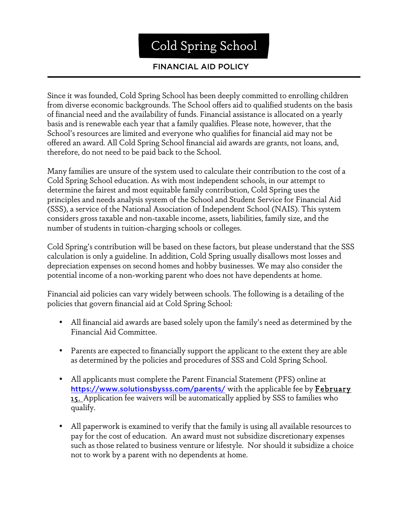## Cold Spring School

## FINANCIAL AID POLICY

Since it was founded, Cold Spring School has been deeply committed to enrolling children from diverse economic backgrounds. The School offers aid to qualified students on the basis of financial need and the availability of funds. Financial assistance is allocated on a yearly basis and is renewable each year that a family qualifies. Please note, however, that the School's resources are limited and everyone who qualifies for financial aid may not be offered an award. All Cold Spring School financial aid awards are grants, not loans, and, therefore, do not need to be paid back to the School.

Many families are unsure of the system used to calculate their contribution to the cost of a Cold Spring School education. As with most independent schools, in our attempt to determine the fairest and most equitable family contribution, Cold Spring uses the principles and needs analysis system of the School and Student Service for Financial Aid (SSS), a service of the National Association of Independent School (NAIS). This system considers gross taxable and non-taxable income, assets, liabilities, family size, and the number of students in tuition-charging schools or colleges.

Cold Spring's contribution will be based on these factors, but please understand that the SSS calculation is only a guideline. In addition, Cold Spring usually disallows most losses and depreciation expenses on second homes and hobby businesses. We may also consider the potential income of a non-working parent who does not have dependents at home.

Financial aid policies can vary widely between schools. The following is a detailing of the policies that govern financial aid at Cold Spring School:

- All financial aid awards are based solely upon the family's need as determined by the Financial Aid Committee.
- Parents are expected to financially support the applicant to the extent they are able as determined by the policies and procedures of SSS and Cold Spring School.
- All applicants must complete the Parent Financial Statement (PFS) online at https://www.solutionsbysss.com/parents/ with the applicable fee by **February 15.** Application fee waivers will be automatically applied by SSS to families who qualify.
- All paperwork is examined to verify that the family is using all available resources to pay for the cost of education. An award must not subsidize discretionary expenses such as those related to business venture or lifestyle. Nor should it subsidize a choice not to work by a parent with no dependents at home.